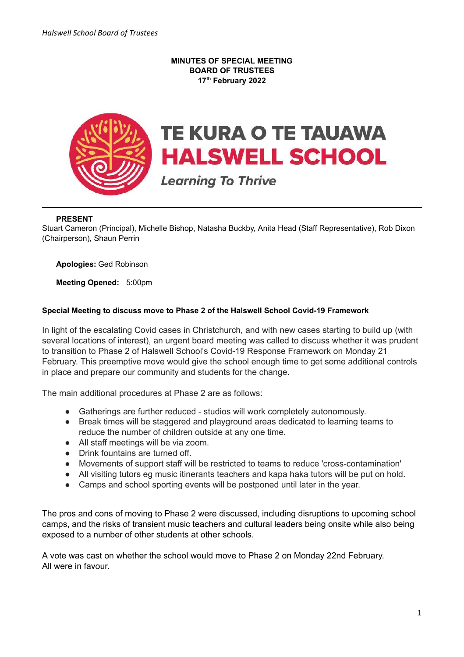## **MINUTES OF SPECIAL MEETING BOARD OF TRUSTEES 17 th February 2022**



## **PRESENT**

Stuart Cameron (Principal), Michelle Bishop, Natasha Buckby, Anita Head (Staff Representative), Rob Dixon (Chairperson), Shaun Perrin

**Apologies:** Ged Robinson

**Meeting Opened:** 5:00pm

## **Special Meeting to discuss move to Phase 2 of the Halswell School Covid-19 Framework**

In light of the escalating Covid cases in Christchurch, and with new cases starting to build up (with several locations of interest), an urgent board meeting was called to discuss whether it was prudent to transition to Phase 2 of Halswell School's Covid-19 Response Framework on Monday 21 February. This preemptive move would give the school enough time to get some additional controls in place and prepare our community and students for the change.

The main additional procedures at Phase 2 are as follows:

- Gatherings are further reduced studios will work completely autonomously.
- Break times will be staggered and playground areas dedicated to learning teams to reduce the number of children outside at any one time.
- All staff meetings will be via zoom.
- Drink fountains are turned off.
- Movements of support staff will be restricted to teams to reduce 'cross-contamination'
- All visiting tutors eg music itinerants teachers and kapa haka tutors will be put on hold.
- Camps and school sporting events will be postponed until later in the year.

The pros and cons of moving to Phase 2 were discussed, including disruptions to upcoming school camps, and the risks of transient music teachers and cultural leaders being onsite while also being exposed to a number of other students at other schools.

A vote was cast on whether the school would move to Phase 2 on Monday 22nd February. All were in favour.